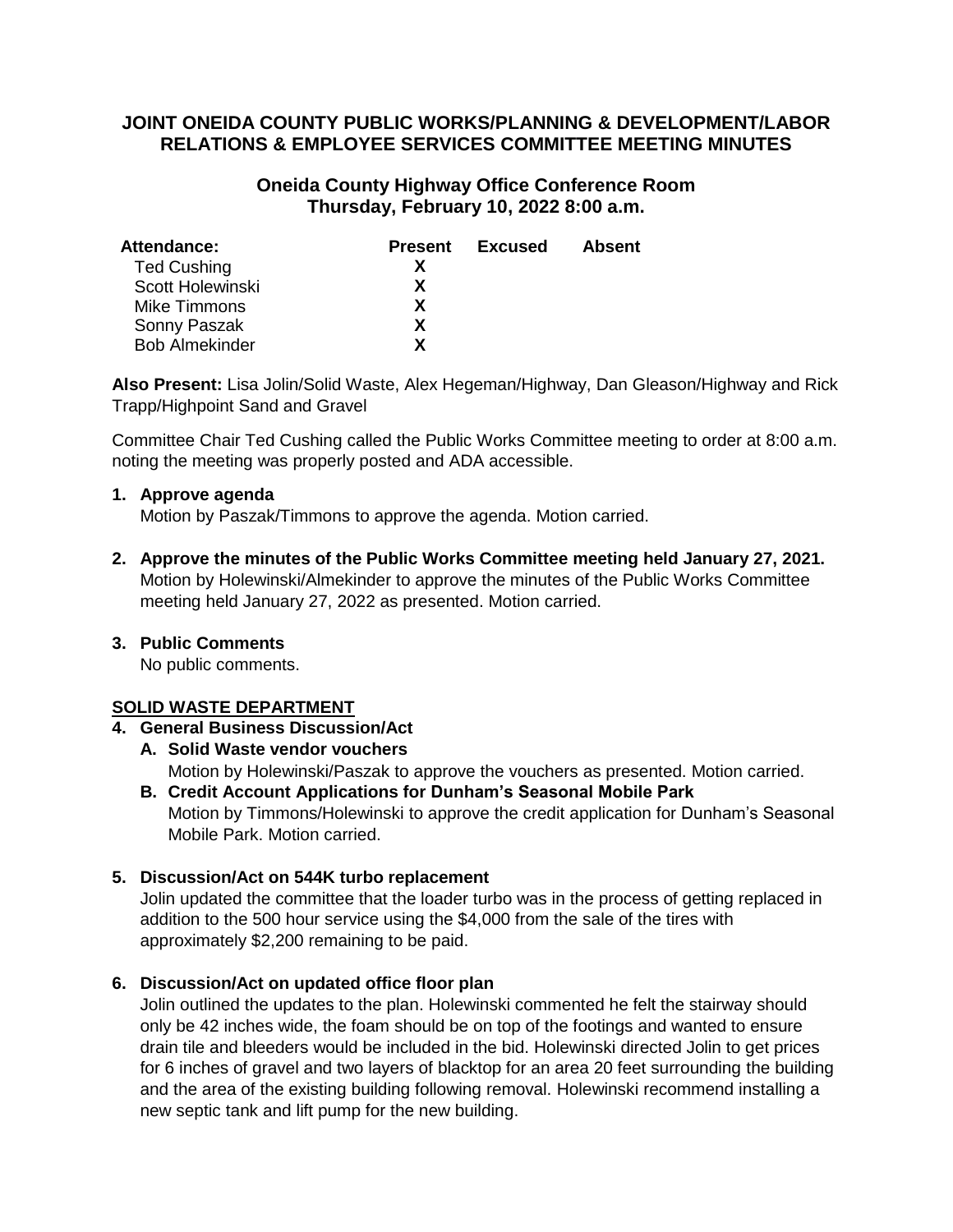# **JOINT ONEIDA COUNTY PUBLIC WORKS/PLANNING & DEVELOPMENT/LABOR RELATIONS & EMPLOYEE SERVICES COMMITTEE MEETING MINUTES**

# **Oneida County Highway Office Conference Room Thursday, February 10, 2022 8:00 a.m.**

| <b>Present</b> | Excused | <b>Absent</b> |
|----------------|---------|---------------|
|                |         |               |
| x              |         |               |
| x              |         |               |
| x              |         |               |
| Y              |         |               |
|                |         |               |

**Also Present:** Lisa Jolin/Solid Waste, Alex Hegeman/Highway, Dan Gleason/Highway and Rick Trapp/Highpoint Sand and Gravel

Committee Chair Ted Cushing called the Public Works Committee meeting to order at 8:00 a.m. noting the meeting was properly posted and ADA accessible.

#### **1. Approve agenda**

Motion by Paszak/Timmons to approve the agenda. Motion carried.

**2. Approve the minutes of the Public Works Committee meeting held January 27, 2021.** Motion by Holewinski/Almekinder to approve the minutes of the Public Works Committee meeting held January 27, 2022 as presented. Motion carried.

# **3. Public Comments**

No public comments.

# **SOLID WASTE DEPARTMENT**

# **4. General Business Discussion/Act**

# **A. Solid Waste vendor vouchers**

Motion by Holewinski/Paszak to approve the vouchers as presented. Motion carried.

**B. Credit Account Applications for Dunham's Seasonal Mobile Park** Motion by Timmons/Holewinski to approve the credit application for Dunham's Seasonal Mobile Park. Motion carried.

# **5. Discussion/Act on 544K turbo replacement**

Jolin updated the committee that the loader turbo was in the process of getting replaced in addition to the 500 hour service using the \$4,000 from the sale of the tires with approximately \$2,200 remaining to be paid.

# **6. Discussion/Act on updated office floor plan**

Jolin outlined the updates to the plan. Holewinski commented he felt the stairway should only be 42 inches wide, the foam should be on top of the footings and wanted to ensure drain tile and bleeders would be included in the bid. Holewinski directed Jolin to get prices for 6 inches of gravel and two layers of blacktop for an area 20 feet surrounding the building and the area of the existing building following removal. Holewinski recommend installing a new septic tank and lift pump for the new building.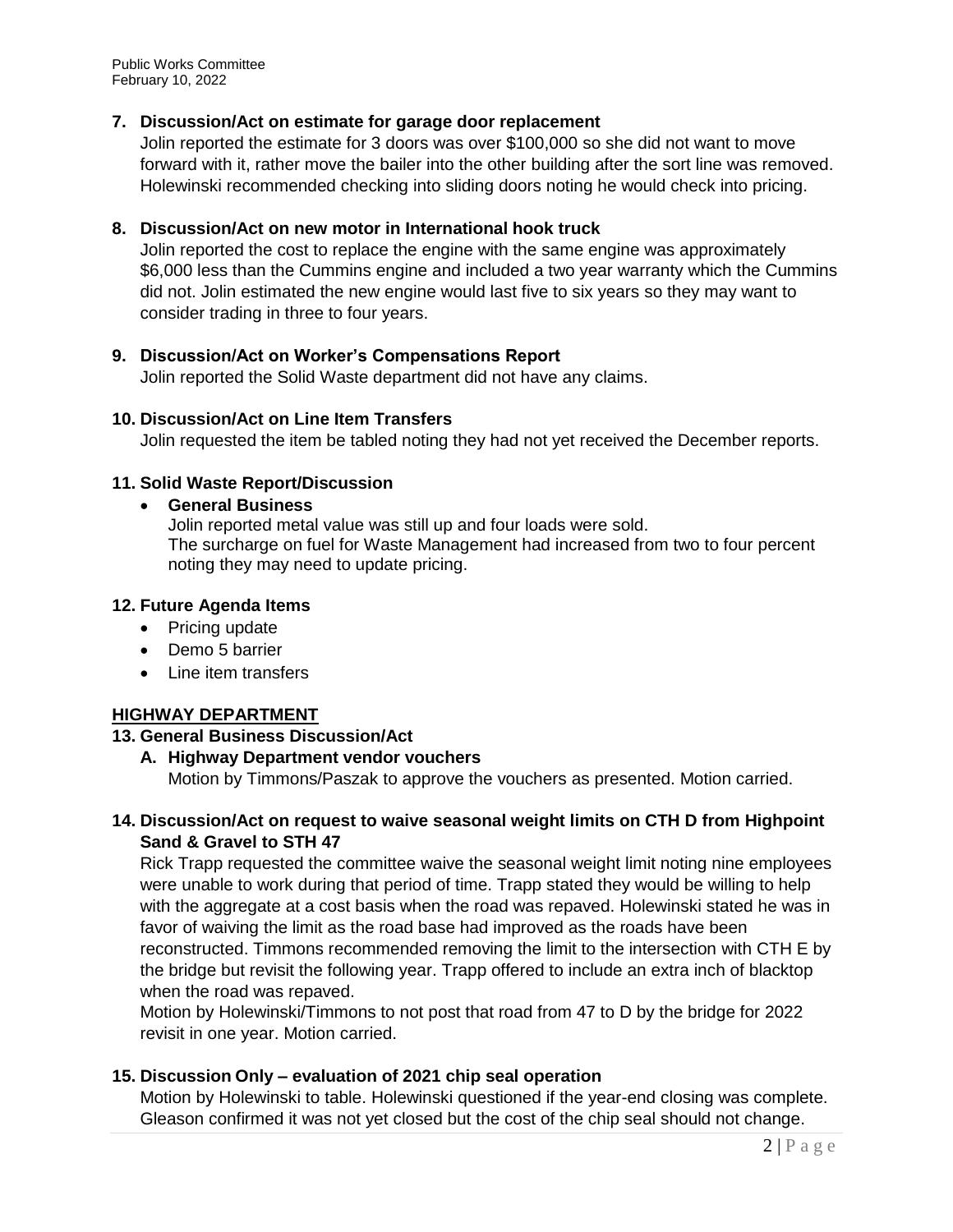Public Works Committee February 10, 2022

# **7. Discussion/Act on estimate for garage door replacement**

Jolin reported the estimate for 3 doors was over \$100,000 so she did not want to move forward with it, rather move the bailer into the other building after the sort line was removed. Holewinski recommended checking into sliding doors noting he would check into pricing.

### **8. Discussion/Act on new motor in International hook truck**

Jolin reported the cost to replace the engine with the same engine was approximately \$6,000 less than the Cummins engine and included a two year warranty which the Cummins did not. Jolin estimated the new engine would last five to six years so they may want to consider trading in three to four years.

# **9. Discussion/Act on Worker's Compensations Report**

Jolin reported the Solid Waste department did not have any claims.

#### **10. Discussion/Act on Line Item Transfers**

Jolin requested the item be tabled noting they had not yet received the December reports.

#### **11. Solid Waste Report/Discussion**

### **General Business**

Jolin reported metal value was still up and four loads were sold. The surcharge on fuel for Waste Management had increased from two to four percent noting they may need to update pricing.

#### **12. Future Agenda Items**

- Pricing update
- Demo 5 barrier
- Line item transfers

# **HIGHWAY DEPARTMENT**

#### **13. General Business Discussion/Act**

**A. Highway Department vendor vouchers**

Motion by Timmons/Paszak to approve the vouchers as presented. Motion carried.

# **14. Discussion/Act on request to waive seasonal weight limits on CTH D from Highpoint Sand & Gravel to STH 47**

Rick Trapp requested the committee waive the seasonal weight limit noting nine employees were unable to work during that period of time. Trapp stated they would be willing to help with the aggregate at a cost basis when the road was repaved. Holewinski stated he was in favor of waiving the limit as the road base had improved as the roads have been reconstructed. Timmons recommended removing the limit to the intersection with CTH E by the bridge but revisit the following year. Trapp offered to include an extra inch of blacktop when the road was repaved.

Motion by Holewinski/Timmons to not post that road from 47 to D by the bridge for 2022 revisit in one year. Motion carried.

# **15. Discussion Only – evaluation of 2021 chip seal operation**

Motion by Holewinski to table. Holewinski questioned if the year-end closing was complete. Gleason confirmed it was not yet closed but the cost of the chip seal should not change.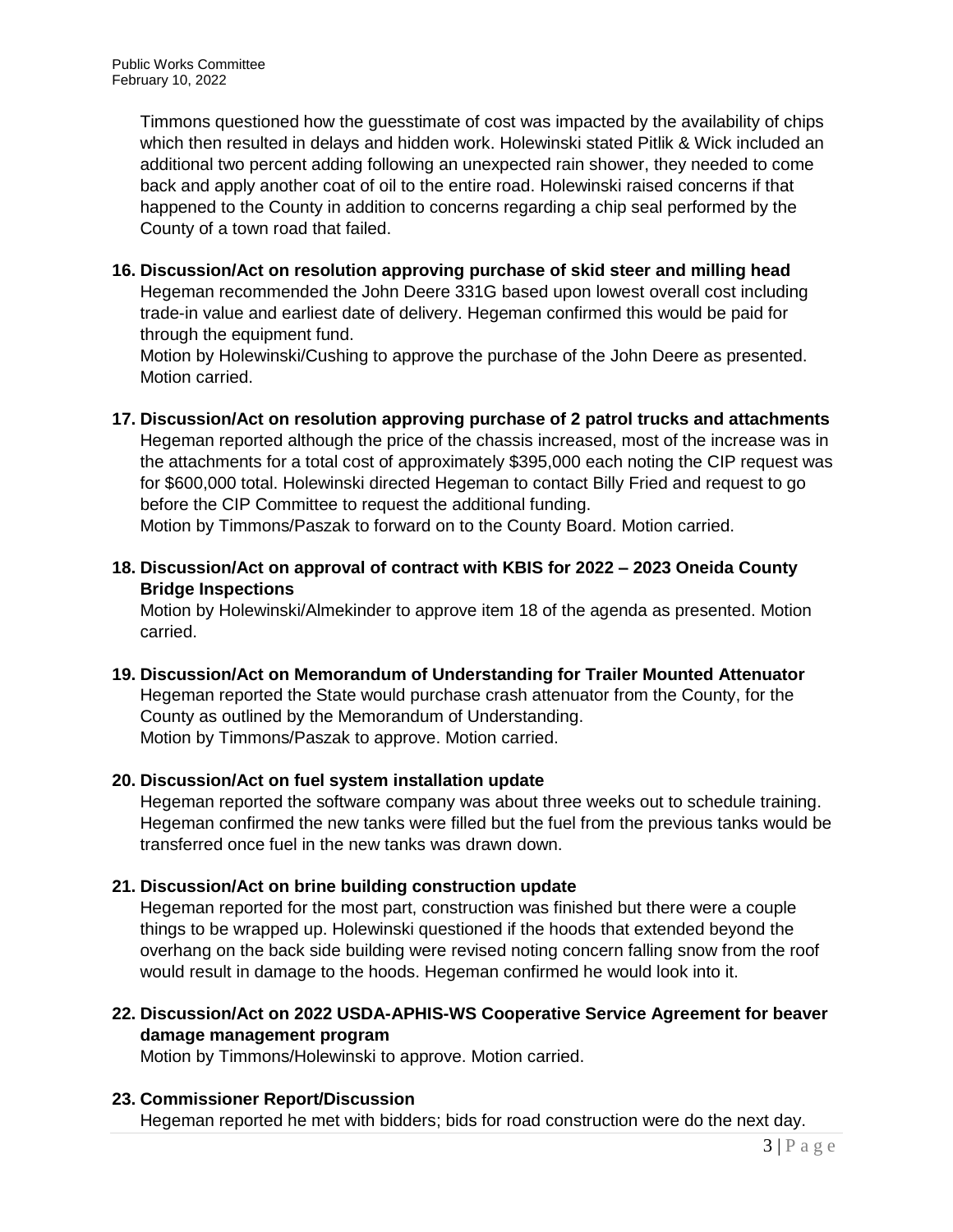Timmons questioned how the guesstimate of cost was impacted by the availability of chips which then resulted in delays and hidden work. Holewinski stated Pitlik & Wick included an additional two percent adding following an unexpected rain shower, they needed to come back and apply another coat of oil to the entire road. Holewinski raised concerns if that happened to the County in addition to concerns regarding a chip seal performed by the County of a town road that failed.

**16. Discussion/Act on resolution approving purchase of skid steer and milling head** Hegeman recommended the John Deere 331G based upon lowest overall cost including trade-in value and earliest date of delivery. Hegeman confirmed this would be paid for through the equipment fund.

Motion by Holewinski/Cushing to approve the purchase of the John Deere as presented. Motion carried.

**17. Discussion/Act on resolution approving purchase of 2 patrol trucks and attachments** Hegeman reported although the price of the chassis increased, most of the increase was in the attachments for a total cost of approximately \$395,000 each noting the CIP request was for \$600,000 total. Holewinski directed Hegeman to contact Billy Fried and request to go before the CIP Committee to request the additional funding.

Motion by Timmons/Paszak to forward on to the County Board. Motion carried.

**18. Discussion/Act on approval of contract with KBIS for 2022 – 2023 Oneida County Bridge Inspections**

Motion by Holewinski/Almekinder to approve item 18 of the agenda as presented. Motion carried.

**19. Discussion/Act on Memorandum of Understanding for Trailer Mounted Attenuator** Hegeman reported the State would purchase crash attenuator from the County, for the County as outlined by the Memorandum of Understanding. Motion by Timmons/Paszak to approve. Motion carried.

# **20. Discussion/Act on fuel system installation update**

Hegeman reported the software company was about three weeks out to schedule training. Hegeman confirmed the new tanks were filled but the fuel from the previous tanks would be transferred once fuel in the new tanks was drawn down.

# **21. Discussion/Act on brine building construction update**

Hegeman reported for the most part, construction was finished but there were a couple things to be wrapped up. Holewinski questioned if the hoods that extended beyond the overhang on the back side building were revised noting concern falling snow from the roof would result in damage to the hoods. Hegeman confirmed he would look into it.

**22. Discussion/Act on 2022 USDA-APHIS-WS Cooperative Service Agreement for beaver damage management program**

Motion by Timmons/Holewinski to approve. Motion carried.

# **23. Commissioner Report/Discussion**

Hegeman reported he met with bidders; bids for road construction were do the next day.